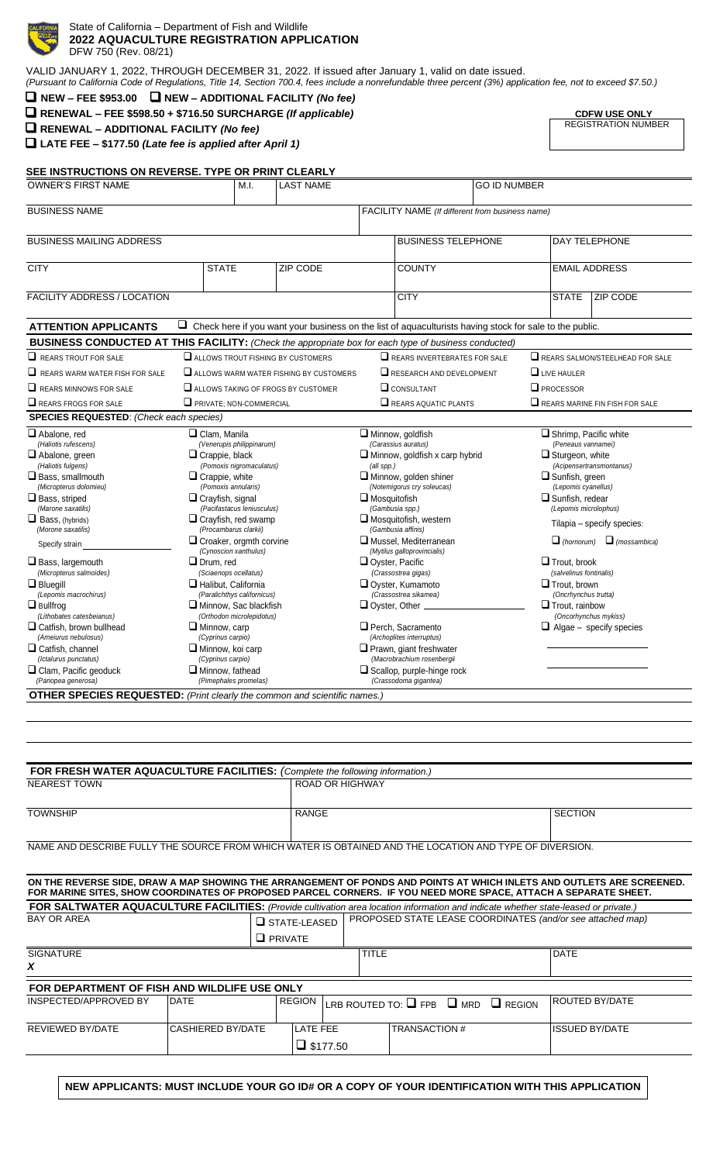

#### DFW 750 (Rev. 08/21) **2022 AQUACULTURE REGISTRATION APPLICATION** State of California – Department of Fish and Wildlife

| VALID JANUARY 1, 2022, THROUGH DECEMBER 31, 2022. If issued after January 1, valid on date issued.                                                            |
|---------------------------------------------------------------------------------------------------------------------------------------------------------------|
| (Pursuant to California Code of Regulations, Title 14, Section 700.4, fees include a nonrefundable three percent (3%) application fee, not to exceed \$7.50.) |

|  | $\Box$ NEW - FEE \$953.00 $\Box$ NEW - ADDITIONAL FACILITY (No fee) |
|--|---------------------------------------------------------------------|
|--|---------------------------------------------------------------------|

❑ **RENEWAL – FEE \$598.50 + \$716.50 SURCHARGE** *(If applicable)* **CDFW USE ONLY**

**SEE INSTRUCTIONS ON REVERSE. TYPE OR PRINT CLEARLY**

❑ **RENEWAL – ADDITIONAL FACILITY** *(No fee)*

❑ **LATE FEE – \$177.50** *(Late fee is applied after April 1)*

**CDFW USE ONLY**<br>REGISTRATION NUMBER

| OWNER'S FIRST NAME                                                                                                                                                                                                                                                                                                                                                                                                                                                                                                                                                                        |                                                                                                                                                                                                                                                                                                                                                                                                     | M.L                                                                                                                                                                                                                                                | <b>LAST NAME</b>                                                                                               | <b>GO ID NUMBER</b>                                                                 |                                                                                                                                                                                                                                                                                                                                                                                                                                                                                                                                                                 |  |                                                                                                                                                                                                                                                                                                              |                                                                                                                                                            |  |
|-------------------------------------------------------------------------------------------------------------------------------------------------------------------------------------------------------------------------------------------------------------------------------------------------------------------------------------------------------------------------------------------------------------------------------------------------------------------------------------------------------------------------------------------------------------------------------------------|-----------------------------------------------------------------------------------------------------------------------------------------------------------------------------------------------------------------------------------------------------------------------------------------------------------------------------------------------------------------------------------------------------|----------------------------------------------------------------------------------------------------------------------------------------------------------------------------------------------------------------------------------------------------|----------------------------------------------------------------------------------------------------------------|-------------------------------------------------------------------------------------|-----------------------------------------------------------------------------------------------------------------------------------------------------------------------------------------------------------------------------------------------------------------------------------------------------------------------------------------------------------------------------------------------------------------------------------------------------------------------------------------------------------------------------------------------------------------|--|--------------------------------------------------------------------------------------------------------------------------------------------------------------------------------------------------------------------------------------------------------------------------------------------------------------|------------------------------------------------------------------------------------------------------------------------------------------------------------|--|
| <b>BUSINESS NAME</b>                                                                                                                                                                                                                                                                                                                                                                                                                                                                                                                                                                      |                                                                                                                                                                                                                                                                                                                                                                                                     |                                                                                                                                                                                                                                                    |                                                                                                                |                                                                                     | FACILITY NAME (If different from business name)                                                                                                                                                                                                                                                                                                                                                                                                                                                                                                                 |  |                                                                                                                                                                                                                                                                                                              |                                                                                                                                                            |  |
| <b>BUSINESS MAILING ADDRESS</b>                                                                                                                                                                                                                                                                                                                                                                                                                                                                                                                                                           |                                                                                                                                                                                                                                                                                                                                                                                                     |                                                                                                                                                                                                                                                    |                                                                                                                | <b>BUSINESS TELEPHONE</b><br><b>DAY TELEPHONE</b>                                   |                                                                                                                                                                                                                                                                                                                                                                                                                                                                                                                                                                 |  |                                                                                                                                                                                                                                                                                                              |                                                                                                                                                            |  |
| <b>CITY</b>                                                                                                                                                                                                                                                                                                                                                                                                                                                                                                                                                                               | <b>STATE</b><br>ZIP CODE                                                                                                                                                                                                                                                                                                                                                                            |                                                                                                                                                                                                                                                    |                                                                                                                | <b>COUNTY</b>                                                                       |                                                                                                                                                                                                                                                                                                                                                                                                                                                                                                                                                                 |  | <b>EMAIL ADDRESS</b>                                                                                                                                                                                                                                                                                         |                                                                                                                                                            |  |
| <b>FACILITY ADDRESS / LOCATION</b>                                                                                                                                                                                                                                                                                                                                                                                                                                                                                                                                                        |                                                                                                                                                                                                                                                                                                                                                                                                     |                                                                                                                                                                                                                                                    |                                                                                                                |                                                                                     | <b>CITY</b>                                                                                                                                                                                                                                                                                                                                                                                                                                                                                                                                                     |  | <b>STATE</b>                                                                                                                                                                                                                                                                                                 | <b>ZIP CODE</b>                                                                                                                                            |  |
| <b>ATTENTION APPLICANTS</b>                                                                                                                                                                                                                                                                                                                                                                                                                                                                                                                                                               |                                                                                                                                                                                                                                                                                                                                                                                                     |                                                                                                                                                                                                                                                    | $\Box$ Check here if you want your business on the list of aquaculturists having stock for sale to the public. |                                                                                     |                                                                                                                                                                                                                                                                                                                                                                                                                                                                                                                                                                 |  |                                                                                                                                                                                                                                                                                                              |                                                                                                                                                            |  |
| BUSINESS CONDUCTED AT THIS FACILITY: (Check the appropriate box for each type of business conducted)                                                                                                                                                                                                                                                                                                                                                                                                                                                                                      |                                                                                                                                                                                                                                                                                                                                                                                                     |                                                                                                                                                                                                                                                    |                                                                                                                |                                                                                     |                                                                                                                                                                                                                                                                                                                                                                                                                                                                                                                                                                 |  |                                                                                                                                                                                                                                                                                                              |                                                                                                                                                            |  |
| $\Box$ REARS TROUT FOR SALE                                                                                                                                                                                                                                                                                                                                                                                                                                                                                                                                                               |                                                                                                                                                                                                                                                                                                                                                                                                     |                                                                                                                                                                                                                                                    | $\Box$ ALLOWS TROUT FISHING BY CUSTOMERS                                                                       |                                                                                     | $\Box$ REARS INVERTEBRATES FOR SALE                                                                                                                                                                                                                                                                                                                                                                                                                                                                                                                             |  |                                                                                                                                                                                                                                                                                                              | $\Box$ REARS SALMON/STEELHEAD FOR SALE                                                                                                                     |  |
| $\Box$ REARS WARM WATER FISH FOR SALE                                                                                                                                                                                                                                                                                                                                                                                                                                                                                                                                                     |                                                                                                                                                                                                                                                                                                                                                                                                     |                                                                                                                                                                                                                                                    | ALLOWS WARM WATER FISHING BY CUSTOMERS                                                                         |                                                                                     | $\Box$ RESEARCH AND DEVELOPMENT                                                                                                                                                                                                                                                                                                                                                                                                                                                                                                                                 |  | $\Box$ LIVE HAULER                                                                                                                                                                                                                                                                                           |                                                                                                                                                            |  |
| $\Box$ REARS MINNOWS FOR SALE                                                                                                                                                                                                                                                                                                                                                                                                                                                                                                                                                             |                                                                                                                                                                                                                                                                                                                                                                                                     |                                                                                                                                                                                                                                                    | ALLOWS TAKING OF FROGS BY CUSTOMER                                                                             |                                                                                     | $\Box$ CONSULTANT                                                                                                                                                                                                                                                                                                                                                                                                                                                                                                                                               |  | $\Box$ PROCESSOR                                                                                                                                                                                                                                                                                             |                                                                                                                                                            |  |
| $\Box$ REARS FROGS FOR SALE                                                                                                                                                                                                                                                                                                                                                                                                                                                                                                                                                               |                                                                                                                                                                                                                                                                                                                                                                                                     | $\Box$ PRIVATE: NON-COMMERCIAL                                                                                                                                                                                                                     |                                                                                                                |                                                                                     | $\Box$ REARS AQUATIC PLANTS                                                                                                                                                                                                                                                                                                                                                                                                                                                                                                                                     |  | $\Box$ REARS MARINE FIN FISH FOR SALE                                                                                                                                                                                                                                                                        |                                                                                                                                                            |  |
| <b>SPECIES REQUESTED:</b> (Check each species)                                                                                                                                                                                                                                                                                                                                                                                                                                                                                                                                            |                                                                                                                                                                                                                                                                                                                                                                                                     |                                                                                                                                                                                                                                                    |                                                                                                                |                                                                                     |                                                                                                                                                                                                                                                                                                                                                                                                                                                                                                                                                                 |  |                                                                                                                                                                                                                                                                                                              |                                                                                                                                                            |  |
| Abalone, red<br>(Haliotis rufescens)<br>Abalone, green<br>(Haliotis fulgens)<br>$\Box$ Bass, smallmouth<br>(Micropterus dolomieu)<br>$\square$ Bass, striped<br>(Marone saxatilis)<br>$\Box$ Bass, (hybrids)<br>(Morone saxatilis)<br>Specify strain<br>$\square$ Bass, largemouth<br>(Micropterus salmoides)<br>$\Box$ Bluegill<br>(Lepomis macrochirus)<br>$\square$ Bullfroa<br>(Lithobates catesbeianus)<br>$\square$ Catfish, brown bullhead<br>(Ameiurus nebulosus)<br>$\square$ Catfish, channel<br>(Ictalurus punctatus)<br>$\square$ Clam, Pacific geoduck<br>(Panopea generosa) | $\Box$ Clam. Manila<br>$\Box$ Crappie, black<br>$\Box$ Crappie, white<br>(Pomoxis annularis)<br>$\Box$ Crayfish, signal<br>(Procambarus clarkii)<br>(Cynoscion xanthulus)<br>$\Box$ Drum. red<br>(Sciaenops ocellatus)<br>$\Box$ Halibut, California<br>$\Box$ Minnow, carp<br>(Cyprinus carpio)<br>$\Box$ Minnow, koi carp<br>(Cyprinus carpio)<br>$\Box$ Minnow, fathead<br>(Pimephales promelas) | (Venerupis philippinarum)<br>(Pomoxis nigromaculatus)<br>(Pacifastacus leniusculus)<br>$\Box$ Crayfish, red swamp<br>$\Box$ Croaker, orgmth corvine<br>(Paralichthys californicus)<br>$\square$ Minnow. Sac blackfish<br>(Orthodon microlepidotus) |                                                                                                                | (all spp.)<br>$\Box$ Mosquitofish<br>Ovster, Pacific<br>$\Box$ Oyster, Other $\Box$ | $\Box$ Minnow, goldfish<br>(Carassius auratus)<br>$\Box$ Minnow, goldfish x carp hybrid<br>$\Box$ Minnow, golden shiner<br>(Notemigorus cry soleucas)<br>(Gambusia spp.)<br>$\Box$ Mosquitofish, western<br>(Gambusia affinis)<br>$\Box$ Mussel. Mediterranean<br>(Mytilus galloprovincialis)<br>(Crassostrea gigas)<br>$\Box$ Oyster, Kumamoto<br>(Crassostrea sikamea)<br>$\Box$ Perch, Sacramento<br>(Archoplites interruptus)<br>$\Box$ Prawn, giant freshwater<br>(Macrobrachium rosenbergii<br>$\Box$ Scallop, purple-hinge rock<br>(Crassodoma gigantea) |  | $\Box$ Shrimp, Pacific white<br>(Peneaus vannamei)<br>$\Box$ Sturgeon, white<br>$\Box$ Sunfish, green<br>(Lepomis cyanellus)<br>$\square$ Sunfish, redear<br>(Lepomis microlophus)<br>$\Box$ Trout. brook<br>(salvelinus fontinalis)<br>$\Box$ Trout, brown<br>(Oncrhynchus trutta)<br>$\Box$ Trout. rainbow | (Acipensertransmontanus)<br>Tilapia - specify species:<br>$\Box$ (hornorum) $\Box$ (mossambica)<br>(Oncorhynchus mykiss)<br>$\Box$ Algae - specify species |  |
| <b>OTHER SPECIES REQUESTED:</b> (Print clearly the common and scientific names.)                                                                                                                                                                                                                                                                                                                                                                                                                                                                                                          |                                                                                                                                                                                                                                                                                                                                                                                                     |                                                                                                                                                                                                                                                    |                                                                                                                |                                                                                     |                                                                                                                                                                                                                                                                                                                                                                                                                                                                                                                                                                 |  |                                                                                                                                                                                                                                                                                                              |                                                                                                                                                            |  |

| FOR FRESH WATER AQUACULTURE FACILITIES: (Complete the following information.)                           |                |  |  |  |  |  |
|---------------------------------------------------------------------------------------------------------|----------------|--|--|--|--|--|
| <b>ROAD OR HIGHWAY</b>                                                                                  |                |  |  |  |  |  |
|                                                                                                         |                |  |  |  |  |  |
| RANGE                                                                                                   | <b>SECTION</b> |  |  |  |  |  |
|                                                                                                         |                |  |  |  |  |  |
| NAME AND DESCRIBE FULLY THE SOURCE FROM WHICH WATER IS OBTAINED AND THE LOCATION AND TYPE OF DIVERSION. |                |  |  |  |  |  |
|                                                                                                         |                |  |  |  |  |  |
|                                                                                                         |                |  |  |  |  |  |

| ON THE REVERSE SIDE, DRAW A MAP SHOWING THE ARRANGEMENT OF PONDS AND POINTS AT WHICH INLETS AND OUTLETS ARE SCREENED.<br>FOR MARINE SITES, SHOW COORDINATES OF PROPOSED PARCEL CORNERS. IF YOU NEED MORE SPACE, ATTACH A SEPARATE SHEET. |                   |                     |                                    |              |                                                            |  |                       |  |  |
|------------------------------------------------------------------------------------------------------------------------------------------------------------------------------------------------------------------------------------------|-------------------|---------------------|------------------------------------|--------------|------------------------------------------------------------|--|-----------------------|--|--|
| FOR SALTWATER AQUACULTURE FACILITIES: (Provide cultivation area location information and indicate whether state-leased or private.)                                                                                                      |                   |                     |                                    |              |                                                            |  |                       |  |  |
| <b>BAY OR AREA</b>                                                                                                                                                                                                                       |                   | $\Box$ STATE-LEASED |                                    |              | PROPOSED STATE LEASE COORDINATES (and/or see attached map) |  |                       |  |  |
|                                                                                                                                                                                                                                          |                   |                     | $\Box$ PRIVATE                     |              |                                                            |  |                       |  |  |
| <b>SIGNATURE</b>                                                                                                                                                                                                                         |                   |                     |                                    | <b>TITLE</b> |                                                            |  | <b>DATE</b>           |  |  |
| X                                                                                                                                                                                                                                        |                   |                     |                                    |              |                                                            |  |                       |  |  |
| FOR DEPARTMENT OF FISH AND WILDLIFE USE ONLY                                                                                                                                                                                             |                   |                     |                                    |              |                                                            |  |                       |  |  |
| INSPECTED/APPROVED BY                                                                                                                                                                                                                    | <b>IDATE</b>      | <b>REGION</b>       |                                    |              | LRB ROUTED TO: $\Box$ FPB $\Box$ MRD $\Box$ REGION         |  | <b>ROUTED BY/DATE</b> |  |  |
| <b>REVIEWED BY/DATE</b>                                                                                                                                                                                                                  | CASHIERED BY/DATE |                     | <b>LATE FEE</b><br>$\Box$ \$177.50 |              | <b>TRANSACTION #</b>                                       |  | <b>ISSUED BY/DATE</b> |  |  |

**NEW APPLICANTS: MUST INCLUDE YOUR GO ID# OR A COPY OF YOUR IDENTIFICATION WITH THIS APPLICATION**